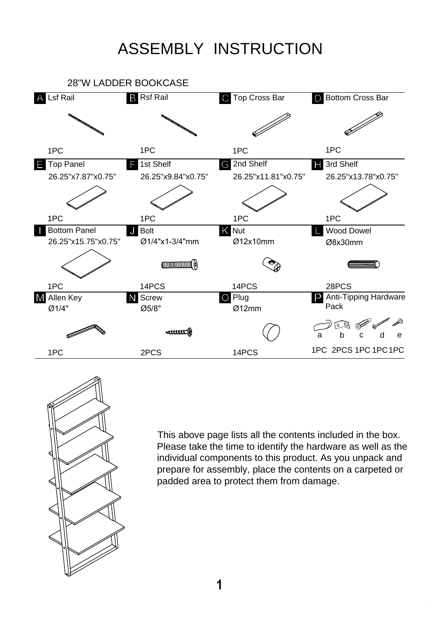## ASSEMBLY INSTRUCTION





This above page lists all the contents included in the box. Please take the time to identify the hardware as well as the individual components to this product. As you unpack and prepare for assembly, place the contents on a carpeted or padded area to protect them from damage.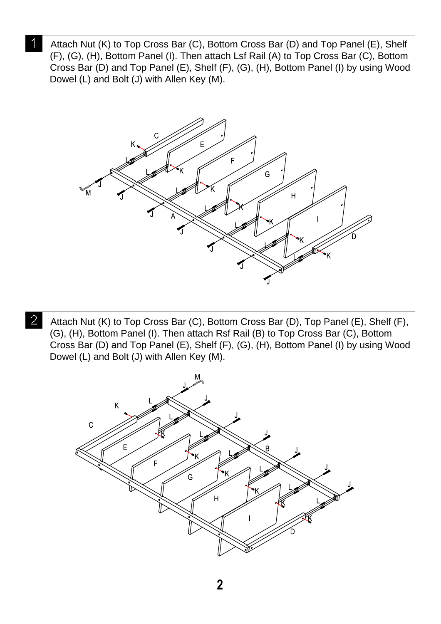Attach Nut (K) to Top Cross Bar (C), Bottom Cross Bar (D) and Top Panel (E), Shelf (F), (G), (H), Bottom Panel (I). Then attach Lsf Rail (A) to Top Cross Bar (C), Bottom Cross Bar (D) and Top Panel (E), Shelf (F), (G), (H), Bottom Panel (I) by using Wood Dowel (L) and Bolt (J) with Allen Key (M).



Attach Nut (K) to Top Cross Bar (C), Bottom Cross Bar (D), Top Panel (E), Shelf (F), (G), (H), Bottom Panel (I). Then attach Rsf Rail (B) to Top Cross Bar (C), Bottom Cross Bar (D) and Top Panel (E), Shelf (F), (G), (H), Bottom Panel (I) by using Wood Dowel (L) and Bolt (J) with Allen Key (M).

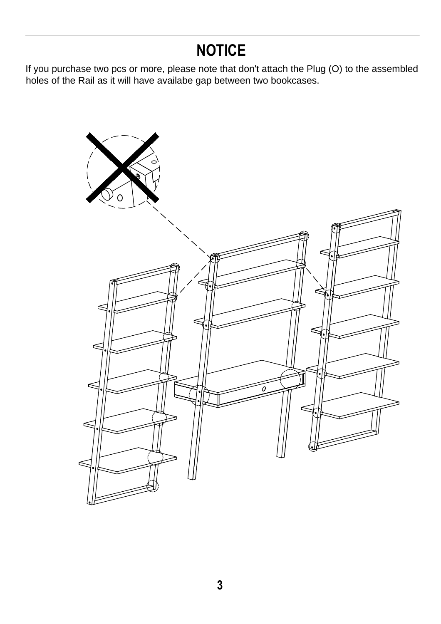## **NOTICE**

If you purchase two pcs or more, please note that don't attach the Plug (O) to the assembled holes of the Rail as it will have availabe gap between two bookcases.

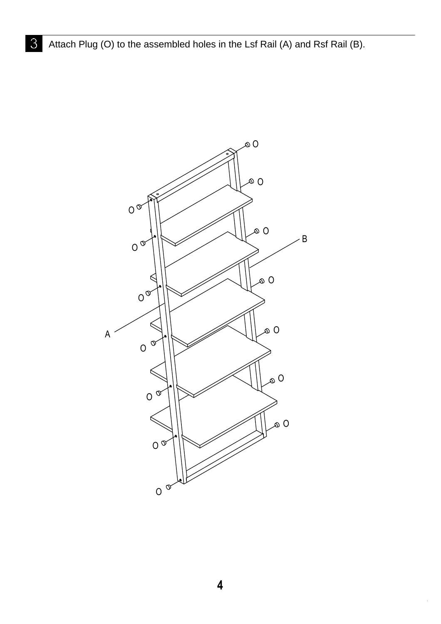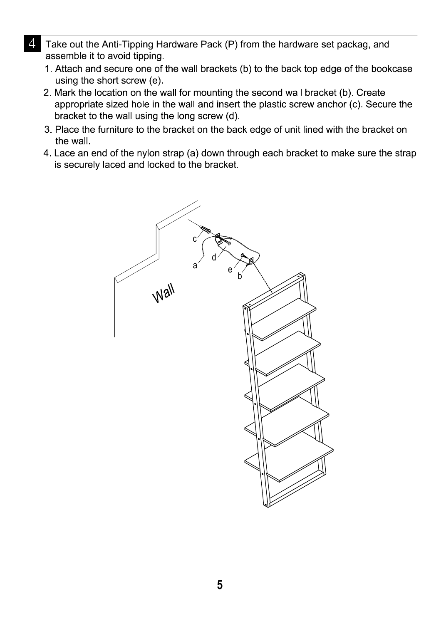- Take out the Anti-Tipping Hardware Pack (P) from the hardware set packag, and assemble it to avoid tipping.
	- 1. Attach and secure one of the wall brackets (b) to the back top edge of the bookcase using the short screw (e).
	- 2. Mark the location on the wall for mounting the second wall bracket (b). Create appropriate sized hole in the wall and insert the plastic screw anchor (c). Secure the bracket to the wall using the long screw (d).
	- 3. Place the furniture to the bracket on the back edge of unit lined with the bracket on the wall.
	- 4. Lace an end of the nylon strap (a) down through each bracket to make sure the strap is securely laced and locked to the bracket.